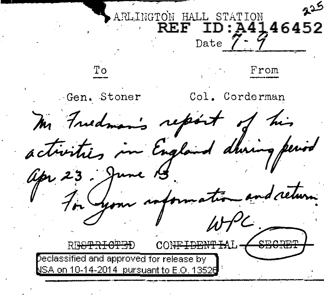كدم ARLINGTON HALL STATION REF ID:A4146452 Date 7 – 9 To From . Gen. Stoner Col. Corderman m Freedman's report of his ~g::·· **f·** *lb r* me 15.<br>en anformation and return. dhing period on Your information and delum.<br>WPC: RE<del>IGTRICTED</del> eclassified and approved for release by SA o<u>n 10-14-2014, pursuant to E.O. 13526</u>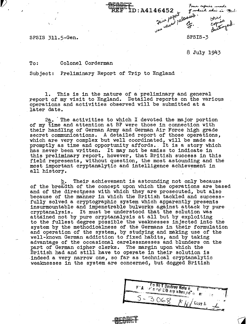Four Four<br>26452 Tweet<br>26 Metal Pelopolet<br>3PSI

D:A4146452

SPSIS 311.5-Gen.

'• .

 $\nabla$ 

SPSIS-3

8 July 1943

tour copies s

of which this is

## To: Colonel Corderman

Subject: Preliminary Report of Trip to England

1. This is in the nature of a preliminary and general report of my visit to England. Detailed reports on the various operations and activities observed will be submitted at a later date.

2a. The activities to which I devoted the major portion of my time and attention at BP were those in connection with their handling of German Army and German Air Force high grade secret communications. A detailed report of those operations, which are very complex but well coordinated, will be made as promptly as time and opportunity affords •. It is a story which has never been written. It may not be amiss to indicate in this preliminary report, however, that British success in this field represents, without question, the most astounding and the most important cryptanalytic and intelligence achievement in most important cryptanaly are and interrigance achiever all history.

b. Their achievement is astounding not only because of the breadth of the concept upon which the operations are based and of the directness with which they are prosecuted, but also because of the manner in which the British tackled and successfully solved a cryptographic system which apparently presents<br>insurmountable and impenetrable bulworks against attack by purecryptanalysis. It must be understood that the solution was attained not by pure cryptanalysis at all but by exploiting to the fullest degree possible the weaknesses injected into the system by the methodicalness of.the Germans in their formulation and operation of the system, by studying and making use of the well-known German addiction to fixed habits, and by taking advantage of the occasional carelessnesses and blunders on the part of German cipher clerks. The margin upon which the British had and still have to operate in their solution is indeed a very narrow *one,* so far as technical cryptanalytic weaknesses in the system are concerned, but dogged British

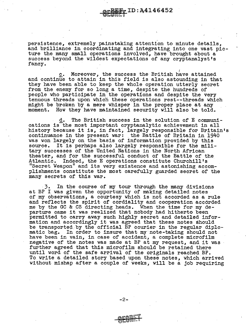persistence, extremely painstaking attention to minute details, and brilliance in coordinating and integrating into one vast picture the many small operations involved, have brought about a success beyond the wildest expectations of any cryptanalyst's fancy.

 $\cup$ UULS U

 $\mathbb{F}_{\mathbb{F}}$  ID: A4146452

c. Moreover, the success the British have attained  $\underline{c}$ . Moreover, the success the British have attained<br>and continue to attain in this field is also astounding in that they have been able to keep the whole operation utterly secret from the enemy for so long a time, despite the hundreds of people who participate in the operations and despite the very tenuous threads upon which these operations rest--threads which might be broken by a mere whisper in the proper place at any moment. How they have maintained security will also be told. How they have maintained security will also be told.

d. The British success in the solution of E communications is the most important cryptanalytic achievement in all history because it is, in fact, largely responsible for Britain's continuance in the present war: the Battle of Britain in 1940 was won largely on the basis of information provided by this source. It is perhaps also largely responsible for the military successes of the United Nations in the North African theater, and for the successful conduct of the Battle of the. Atlantic. Indeed, the E operations constitute Churchill's "Secret Weapon" and its very existence and astonishing accomplishments constitute the most carefully guarded secret of the many secrets of this war.

. 3. In the course of my tour through the many divisions at BP I was given the opportunity of making detailed notes of my observations, a courtesy which is not accorded as a rule and reflects the spirit of cordiality and cooperation accorded me by the GC & CS directing heads. When the time ror my departure came it was realized that nobody had hitherto been permitted to carry away such highly secret and detailed information and accordingly it was agreed that these notes Should be transported by the official BP courier in the regular diplo-<br>matic bag. In order to insure that my note-taking should not have been in vain, in case of accident, a complete microfilm negative of the notes was made at BP at my request, and it was further agreed that this microfilm should be retained there until word of the safe arrival of the originals reached BP. To write a detailed story based upon these notes, which arrived without mishap after a couple of weeks, will be a job requiring

-2-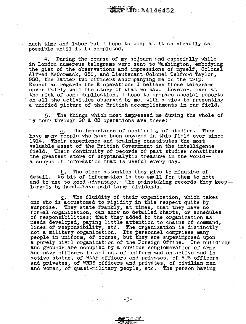much time and labor but I hope to keep at it as steadily as possible until it is completed.

During the course of my sojourn and especially while in London numerous telegrams were sent to Washington, embodying the gist of the observations and impressions of myself, Colonel Alfred McCormack, GSC, and Lieutenant.Colonel Telford Taylor, GSC, the latter two officers accompanying me on the trip. Except as regards the E operations I believe those telegrams cover fairly well the story of what we saw. However, even at the risk of some duplication, I hope to prepare special reports on all the activities observed by *me,* with a view to presenting a unified picture of the British accomplishments in our field.

5. The things which most imppessed me during the whole of my tour through GC & CS operations are these:

a. The importance of continuity of studies. They have many people who have been engaged in this field ever since 1914. Their experience and training constitutes the most valuable asset of the British Government in the intelligence field. Their continuity of records of past studies constitutes the greatest store of cryptanalytic treasure in the worlda source of information that is useful every day.

b. The close attention they give to minutiae of detail. No bit of information is too small for them to note and to use to good advantage. $\circ$  The painstaking records they keep--<br>largely by hand-have paid large dividends.

 $c$ . The fluidity of their organization, which takes one who is accustomed to rigidity in this respect quite by surprise. They state frankly, at times, that they have no formal organization, can show no detailed charts, or schedules of responsibilities; that they added to the organization as needs developed, paying little attention to chains of command, lines of responsibility, etc. The organization is distinctly not a military organization. Its personnel comprises many people in uniform, of course, but they are superimposed upon people in uniform, of course, but they are superimposed upon a purely civil organization of the Foreign Office. The buildings and grounds are occupied by a curious conglomeration·of army and navy officers in and out of uniform and on active and inactive status, of WAAF officers and privates, of ATS officers and privates, of WRNS officers and privates, of civilian men and women, of quasi-military people, etc. The person having

-3-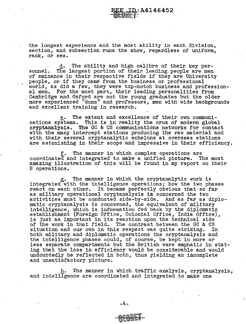the longest experience and the most ability in each division, section, and subsection runs the show, regardless of uniform, rank, or sex.

 $ID: A4146452$ 

d. The ability and high calibre of their key personnel. The largest portion of their leading people are men of eminence in their respective fields if they are University people, or if they came from the business or professional world, as did a few, they were top-notch business and professional men. For the most part, their leading personalities from Cambridge and.Oxford are not the young graduates but the older more experienced "dons" and professors, men with wide backgrounds and excellent training in research.

e. The extent and excellence of their own communications systems. This is in reality the crux of modern global cryptanalysis. The.GO & CS communications networks for contact with the many intercept stations producing the raw material and with their several cryptanalytic echelons at overseas stations are astonishing in their scope and impressive in their efficiency.

The manner in which complex operations are<br>id integrated to make a unified picture. The most coordinated and integrated to make a unified picture. amazing illustration of· this will be found in my report on their E operations.

g\_. The manner in which the cryptanalytic work is integrated with the intelligence operations; how the two phases react on each other. It became perfectly obvious that-so far as military operational cryptanalysis in concerned the two<br>activities must be conducted side-by-side. And as far as diplomatic cryptanalysis is concerned, the equivalent of military<br>intelligence, which is information fed back by the diplomatic<br>establishment (Foreign Office, Colonial Office, India Office), is just as important in its reaction upon the technical side of the work in that field. The contrast between the GC & CS situation and our own in this respect was quite striking. In situation and our own in this respect was quite striking. both military and diplomatic operations the cryptanalysis and the intelligence phases could, of course, be kept· in more or less separate compartments but the British were emphatic in stating that the loss in efficiency would be considerable and would undoubtedly be reflected in both, thus yielding an incomplete and unsatisfactory picture.

h. The manner in which traffic analysis, cryptanalysis, and intelligence are coordinated and integrated to make one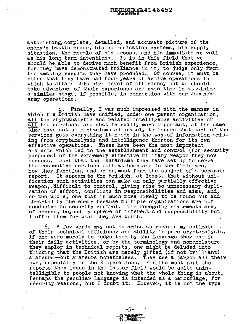astonishing, complete; detailed, and accurate picture of the enemy's battle order, his communication systems, his supply situation, the morale of his troops, and his immediate as well as his long term intentions. It is in this field that we should be able to derive much benefit from British experience, for they have demonstrated brilliance in it, to judge only from the amazing results they have produced. Of course, it must be noted that they have had four years of active operations in which to attain this high level of efficiency but we should take advantage of their experience and save time in attaining a similar-stage, if possible, in connection with our Japanese Army operations.

i. Finally, I was much impressed with the manner in which the British have unified, under one parent organization, all the cryptanalytic and related intelligence activities of all the services, and what is really more important, at the same time have set up mechanisms adequately to insure that each of the services gets everything it needs in the way.of information arising from cryptanalysis and intelligence thereon for its own effective operations. These have been the most important elements which led to the establishment and control (for security purposes) of the extremely effective military weapon they now possess. Just what the mechanisms they have set up to serve the respective services both at home and in the field are, how. they function, and so on, must form the subject of a separate report. It appears to the British, at least, that without unification such activities can make an only partially effective weapon, difficult to control, giving rise to unnecessary duplication of effort, conflicts in responsibilities and aims, and, on the whole, one that is much more likely to be found out and thwarted by the enemy because multiple organizations are· not conducive to security control. The foregoing statements are, of course, beyond my sphere of interest and responsibility but I offer them for what they are worth.

6. A few words may not be amiss as regards my estimate of their technical efficiency and ability in pure cryptanalysis. If one were merely to judge them by the language they use in their daily activities, or by the terminology and nomenclature they employ in technical reports, one might be deluded into they employ in technical reports, one might be deluded into thinking that the British are merely gifted (if not brilliant) amateurs-but amateurs nonetheless. They use a jargon all their own, especially in the E operations. For the most part the reports they issue in the latter field would be quite unintelligible to people not knowing what the whole thing is about. Perhaps the peculiar language is intended as a camouflage, for security reasons, but I doubt it. However, it is not the type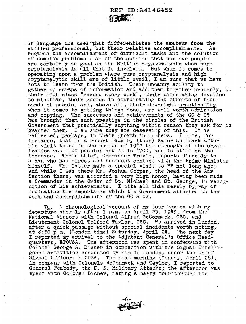of language one uses that differentiates the amateur from the skilled professional, but their relative accomplishments. As skilled professional, but their relative accomplishments. regards the accomplishment of difficult tasks and the solution of complex problems I am of the opinion that our own people are certainly as good as the British cryptanalysts when pure cryptanalysis is all that is involved. But when it comes to operating upon a problem where pure cryptanalysis and high cryptanalytic skill are of little avail, I am sure that we have lots to learn from the British. Their uncanny ability to gather up scraps of information and add them together properly,  $\mathbb{C}$ their high class "second story work", their painstaking devotion to minutiae, their genius in coordinating the efforts of thou $\div$ sands of people, and, above all, their downright practicality when it comes to getting things done, are well worth admiration and copying. The successes and achievements of the GC & CS The successes and achievements of the GC & CS has brought them such prestige in the circles of the British Government that practically anything within reason they ask for is granted them. I am sure they are deserving of this. It is granted them. I am sure they are deserving of this. reflected, perhaps, in their growth in numbers. I note, for instance, that in a report made by (then) Major Kullback after<br>his visit there in the summer of 1942 the strength of the organization was 2100 people; now it is  $4700$ , and is still on the increase. Their· chief, Commander Travis, reports directly to a man who has direct and frequent contact with the Prime Minister himself. The latter made a special visit to BP not long ago; and while I was there Mr. Joshua Cooper, the head of the Air Section there, was accorded a very high honor, having been made a Commander in the Order of St. Michael and St. George, in recognition of his achievements. I cite all this merely by way of indicating the importance which the Government attaches to the work and accomplishments of the GC & CS.

7a. A chronological account of my tour begins with my departure shortly after l p.m. on April 23, 1943, from the National Airport with Colonel Alfred McCormack, GSC, and Lieutenant Colonel Telford Taylor, GSC. We arrived in London, after a quick passage without special incidents worth noting, at 8:30 p.m. (London time) Saturday, April 24. The next day I reported my arrival to the Adjutant General's Office Headquarters, ETOUSA. The afternoon was spent in conferring with Colonel George A. Eicher in connection with the Signal Intelligence activities conducted by him in London, under the Chief Signal Officer, ETOUSA. The next morning (Monday, April 26), in company with· Colonels McCormack and Taylor, I reported to General Peabody, the U.S. Military Attache; the afternoon was spent with Colonel Bicher, making a hasty tour through his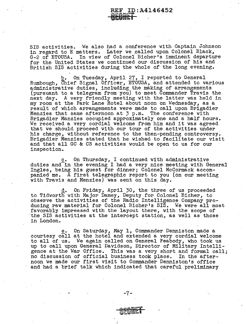SIS activities. We also had a conference with Captain Johnson in regard to E matters. Later we called upon Colonel Black, G-2 of ETOUSA. In view of Colonel Bicher's innninent departure for the United States we continued our discussion of his and British SIS activities during the whole of the long evening.

b. On Tuesday, April 27, I reported to General Rumbough, Chief Signal Officer, ETOUSA, and attended to various administrative duties, including the making of arrangements (pursuant to a telegram from you) to meet Commander Travis the next day. A very friendly meeting with the latter was held in my room at the Park Lane Hotel about noon on Wednesday, as a result of which arrangements were made to call upon Brigadier Menzies that same afternoon at 3 p.m. The conference with Brigadier Manzies occupied approximately one and a half hours. We received a very cordial welcome from him and it was agreed that we should proceed with our tour of the activities under his charge, without reference to the then-pending controversy. Brigadier Menzies stated that he wished to facilitate our visit and that all GO & CS activities would be open to us for our inspection. ·

c. On Thursday, I continued with administrative duties and in the evening I had a very nice meeting with General Ingles, being his guest for dinner; Colonel McCormack accompanied me. A first telegraphic report to you (on our meeting with Travis and Menzies) was sent on this day.

d. On Friday, April 30, the three of us proceeded to Tidworth with Major Damey, Deputy for Colonel Bieber, to observe the activities of the Radio Intelligence Company producing raw material for Colonel Bicher's SIS. We were all most favorably impressed with the layout there, with the scope of the SIS activities at the intercept station, as well as those in London.

e. On Saturday, May 1, Commander Denniston made a courtesy call at the hotel and extended a very cordial welcome to all of us. We again called on General Peabody, who took us up to call upon General Davidson, Director of Military Intelligence at the War Office. This was a very short and formal call; no discussion of official business took place. In the afternoon we made our first visit to Commander Denniston•s office and had a brief talk which indicated that careful preliminary

-7-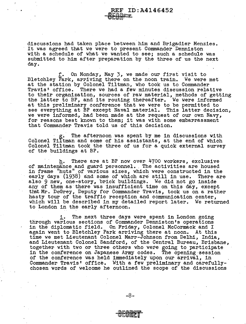discussions had taken place between him and Brigadier Menzies. It was agreed that we were to present Commander Denniston with a schedule of what we wanted to *see;* such a schedule was submitted to him after preparation by the three of us the next day.

 $\bullet$ bwin' $^-$ 

REF ID:A4146452

f. On Monday, May 3, we made our first visit to Bletchley Park, arriving there on the noon train. We were met at the station by Colonel Tiltman, who took us to Commander Travis' office. There we had a few minutes discussion relative to their organization, sources of raw material, methods of getting the latter to *BP,* and its routing thereafter. We were informed at this preliminary conference that we were to be permitted to see everything at BP except Naval material. This latter decision, we were informed, had been made at the request of our own Navy, for reasons best known to them; it was with some embarrassment that Commander Travis told us of this decision.

 $g_{\bullet}$  . The afternoon was spent by me in discussions with Colonel Tiltman and some of his assistants, at the end of which Colonel Tiltman took the three of us for a quick external survey of the buildings at BP.

h. There are at BP now over 4700 workers, exclusive of maintenance and guard personnel. The activities are housed in frame "huts" of various sizes, which were constructed in the early days (1938) and some of which are still in use. There are also 9 *new,* one-story, brick buildings. We did not go inside any of them as· there was insufficient time on this day, except that Mr. DeGrey, Deputy for Commander Travis, took us on a rather hasty tour of the traffic reception and communication center, which will be described in my detailed report later. We returned to London in the early afternoon.

i. The next three days were spent in London going through various sections of Commander Denniston's operations in the diplomatic field. On Friday, Colonel McCormack and I again went to Bletchley Park arriving there at noon. At this time we met Lieutenant Colonel Marr-Johnson from Delhi, India, and Lieutenant Colonel Sandford, of the Central Bureau, Brisbane, together with two or three others who were going to participate in the conference on Japanese Army codes. The opening-session of the conference was held immediately upon our arrival, in Commander Travis' office. With a few preliminary and carefullychosen words of welcome he outlined the scope of the discussions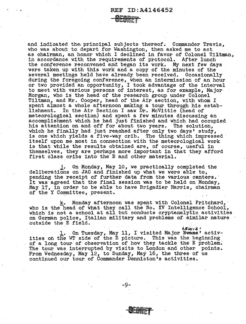## REF ID:A4146452

<u>'ecoret</u>

and indicated the, principal subjects thereof. Commander Travis, who was about to depart for Washington, then asked me to act as chairman, an honor which I declined in favor of Colonel Tiltman, in accordance with the requirements of protocol. After lunch the conference reconvened and began its work. My next few days were taken up with this work and a copy of the minutes of the several meetings held have already been received. Occasionally during the foregoing conference, when an intermission of an hour or two provided an opportunity, I took advantage of the interval to meet with various persons of interest, as for example, Major Morgan, who is the head of the research group under Colonel Tiltman, and Mr. Cooper, head of the Air section, with whom I spent almost a whole afternoon making a tour through his establishment. In the Air Section I saw Dr. McVittie (head of meteorological section) and spent a few minutes discussing an accomplishment which he had just finished and which had occupied his attention on and off for about two years. The solution,<br>which he finally had just reached after only two days' study,<br>is one which yields a five-way crib. The thing which impressed<br>itself upon me most in connection wit is that while the results obtained are, of course, useful in themselves, they are perhaps more important in that they afford first class cribs into the E and other material.

j. On Monday, May 10, we practically completed the deliberations on JAC and finished up what we were able to, pending the receipt of further data from the various centers. It was agreed that the final session was to be held on Monday, May 17, in order to be able to have Brigadier Harris, chairman of the Y Committee, present.

k. Monday afternoon was spent with Colonel Pritchard,· who is the head of what they call the No. IV Intelligence School, which is not a school at all but conducts cryptanalytic activities on German police, Italian military and problems of similar nature outside the E field.

*J..ltl,t11S* <sup>I</sup> 1. On Tuesday, May 11, I visited Major Evans' activities on the WT side of the E picture. This was the beginning of a long tour of observation of how they tackle the E problem. The tour was interrupted by visits to London and other points. From Wednesday, May 12, to Sunday, May 16, the three of us continued our tour of Commander Denniston's activities.

-9-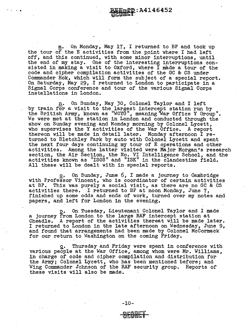On Monday, May 17, I returned to BP and took up the tour of the E activities from the point where I had left off, and this continued, with some minor interruptions, until the end of my stay. One of the interesting interruptions consisted in making a visit to Oxford, where I made a tour of the code and cipher compilation activities of the GC & CS under Commander Hok, which will form the subject of a special report. On Saturday, May 29, I returned to London to participate in a Signal Corps· conference and tour of the various Signal Corps installations in London.

' I I •

n. On Sunday, May 30, Colonel Taylor and I left<br>by train for a visit to the largest intercept station run by by train for a visit to the largest intervals in the largest station run by the British Army, known as "WOYG", meaning War Office Y Group". We were met at the station in London and conducted through the show· on Sunday evening and Monday morning by Colonel Lycett, who supervises the Y activities of the War Office. A report thereon will be made in detail later. Monday afternoon I re-<br>turned to Bletchley Park by auto with Colonel Lycett and spent the next four days continuing my tour of E operations and other activities. Among the latter visited were Major Morgan's research section, the Air Section, the No. VI Intelligence School, and the activities known as "ISOS" and "ISK" in the clandestine field. All these will be dealt with in special reports.

o. On Sunday, June 6, I made a journey to Cambridge with Professor Vincent, who is coordinator of certain activities at BP. This was purely a social visit, as there are no GC & CS activities there. I returned to BP at·noon Monday, June 7, finished up some odds and ends of work, turned over my notes and papers, and left for London in the evening.

On Tuesday, Lieutenant Colonel Taylor and I made a journey from London to the large RAF intercept station at Cheadle. A report of the activities thereat will be made later. I returned to London in the late afternoon on Wednesday, June 9, and found that arrangements had been made by Colonel-McCormack for our return to Washington on the coming Friday.

q. Thursday and Friday were spent in conference with various people at the War Office, among whom were Mr. Williams, in charge of code and cipher compilation and distribution for the Army; Colonel Lycett, who has been mentioned before; and Wing Commander Johnson of the RAF security group. Reports of these visits will also be made.